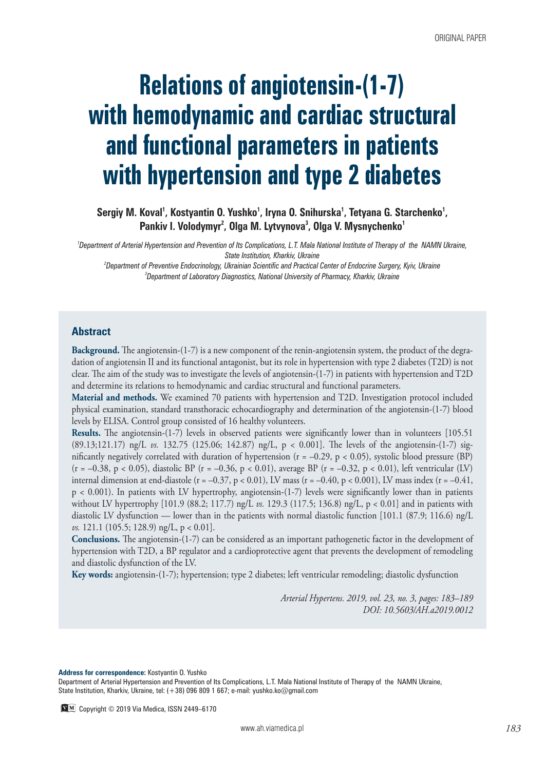# **Relations of angiotensin-(1-7) with hemodynamic and cardiac structural and functional parameters in patients with hypertension and type 2 diabetes**

Sergiy M. Koval<sup>1</sup>, Kostyantin O. Yushko<sup>1</sup>, Iryna O. Snihurska<sup>1</sup>, Tetyana G. Starchenko<sup>1</sup>, Pankiv I. Volodymyr<sup>2</sup>, Olga M. Lytvynova<sup>3</sup>, Olga V. Mysnychenko<sup>1</sup>

*1 Department of Arterial Hypertension and Prevention of Its Complications, L.T. Mala National Institute of Therapy of the NAMN Ukraine, State Institution, Kharkiv, Ukraine*

*2 Department of Preventive Endocrinology, Ukrainian Scientific and Practical Center of Endocrine Surgery, Kyiv, Ukraine 3 Department of Laboratory Diagnostics, National University of Pharmacy, Kharkiv, Ukraine*

## **Abstract**

**Background.** The angiotensin-(1-7) is a new component of the renin-angiotensin system, the product of the degradation of angiotensin II and its functional antagonist, but its role in hypertension with type 2 diabetes (T2D) is not clear. The aim of the study was to investigate the levels of angiotensin-(1-7) in patients with hypertension and T2D and determine its relations to hemodynamic and cardiac structural and functional parameters.

**Material and methods.** We examined 70 patients with hypertension and T2D. Investigation protocol included physical examination, standard transthoracic echocardiography and determination of the angiotensin-(1-7) blood levels by ELISA. Control group consisted of 16 healthy volunteers.

**Results.** The angiotensin-(1-7) levels in observed patients were significantly lower than in volunteers [105.51 (89.13;121.17) ng/L *vs.* 132.75 (125.06; 142.87) ng/L, p < 0.001]. The levels of the angiotensin-(1-7) significantly negatively correlated with duration of hypertension ( $r = -0.29$ ,  $p < 0.05$ ), systolic blood pressure (BP)  $(r = -0.38, p < 0.05)$ , diastolic BP  $(r = -0.36, p < 0.01)$ , average BP  $(r = -0.32, p < 0.01)$ , left ventricular (LV) internal dimension at end-diastole (r =  $-0.37$ , p < 0.01), LV mass (r =  $-0.40$ , p < 0.001), LV mass index (r =  $-0.41$ , p < 0.001). In patients with LV hypertrophy, angiotensin-(1-7) levels were significantly lower than in patients without LV hypertrophy [101.9 (88.2; 117.7) ng/L *vs.* 129.3 (117.5; 136.8) ng/L, p < 0.01] and in patients with diastolic LV dysfunction — lower than in the patients with normal diastolic function [101.1 (87.9; 116.6) ng/L *vs.* 121.1 (105.5; 128.9) ng/L, p < 0.01].

**Conclusions.** The angiotensin-(1-7) can be considered as an important pathogenetic factor in the development of hypertension with T2D, a BP regulator and a cardioprotective agent that prevents the development of remodeling and diastolic dysfunction of the LV.

**Key words:** angiotensin-(1-7); hypertension; type 2 diabetes; left ventricular remodeling; diastolic dysfunction

*Arterial Hypertens. 2019, vol. 23, no. 3, pages: 183–189 DOI: 10.5603/AH.a2019.0012*

**Address for correspondence:** Kostyantin O. Yushko

Department of Arterial Hypertension and Prevention of Its Complications, L.T. Mala National Institute of Therapy of the NAMN Ukraine, State Institution, Kharkiv, Ukraine, tel: (+38) 096 809 1 667; e-mail: yushko.ko@gmail.com

Copyright © 2019 Via Medica, ISSN 2449–6170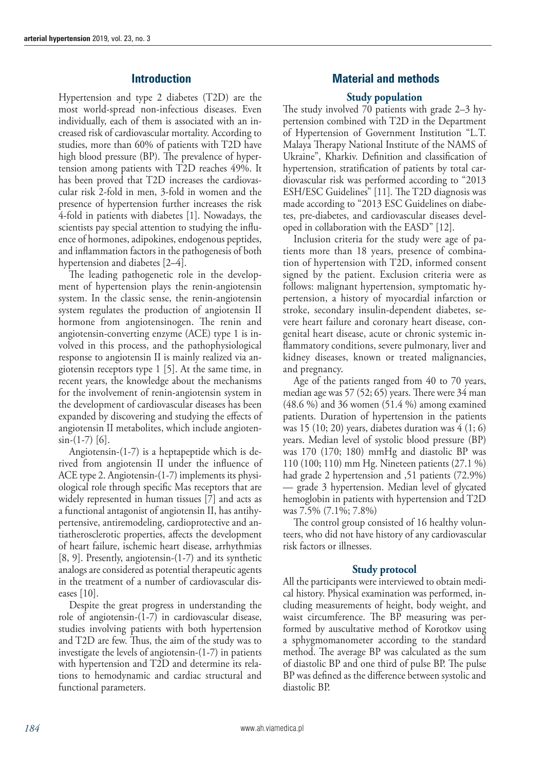# **Introduction**

Hypertension and type 2 diabetes (T2D) are the most world-spread non-infectious diseases. Even individually, each of them is associated with an increased risk of cardiovascular mortality. According to studies, more than 60% of patients with T2D have high blood pressure (BP). The prevalence of hypertension among patients with T2D reaches 49%. It has been proved that T2D increases the cardiovascular risk 2-fold in men, 3-fold in women and the presence of hypertension further increases the risk 4-fold in patients with diabetes [1]. Nowadays, the scientists pay special attention to studying the influence of hormones, adipokines, endogenous peptides, and inflammation factors in the pathogenesis of both hypertension and diabetes [2–4].

The leading pathogenetic role in the development of hypertension plays the renin-angiotensin system. In the classic sense, the renin-angiotensin system regulates the production of angiotensin II hormone from angiotensinogen. The renin and angiotensin-converting enzyme (ACE) type 1 is involved in this process, and the pathophysiological response to angiotensin II is mainly realized via angiotensin receptors type 1 [5]. At the same time, in recent years, the knowledge about the mechanisms for the involvement of renin-angiotensin system in the development of cardiovascular diseases has been expanded by discovering and studying the effects of angiotensin II metabolites, which include angioten $sin-(1-7)$  [6].

Angiotensin-(1-7) is a heptapeptide which is derived from angiotensin II under the influence of ACE type 2. Angiotensin-(1-7) implements its physiological role through specific Mas receptors that are widely represented in human tissues [7] and acts as a functional antagonist of angiotensin II, has antihypertensive, antiremodeling, cardioprotective and antiatherosclerotic properties, affects the development of heart failure, ischemic heart disease, arrhythmias [8, 9]. Presently, angiotensin-(1-7) and its synthetic analogs are considered as potential therapeutic agents in the treatment of a number of cardiovascular diseases [10].

Despite the great progress in understanding the role of angiotensin-(1-7) in cardiovascular disease, studies involving patients with both hypertension and T2D are few. Thus, the aim of the study was to investigate the levels of angiotensin-(1-7) in patients with hypertension and T2D and determine its relations to hemodynamic and cardiac structural and functional parameters.

# **Material and methods**

## **Study population**

The study involved 70 patients with grade 2–3 hypertension combined with T2D in the Department of Hypertension of Government Institution "L.T. Malaya Therapy National Institute of the NAMS of Ukraine", Kharkiv. Definition and classification of hypertension, stratification of patients by total cardiovascular risk was performed according to "2013 ESH/ESC Guidelines" [11]. The T2D diagnosis was made according to "2013 ESC Guidelines on diabetes, pre-diabetes, and cardiovascular diseases developed in collaboration with the EASD" [12].

Inclusion criteria for the study were age of patients more than 18 years, presence of combination of hypertension with T2D, informed consent signed by the patient. Exclusion criteria were as follows: malignant hypertension, symptomatic hypertension, a history of myocardial infarction or stroke, secondary insulin-dependent diabetes, severe heart failure and coronary heart disease, congenital heart disease, acute or chronic systemic inflammatory conditions, severe pulmonary, liver and kidney diseases, known or treated malignancies, and pregnancy.

Age of the patients ranged from 40 to 70 years, median age was 57 (52; 65) years. There were 34 man (48.6 %) and 36 women (51.4 %) among examined patients. Duration of hypertension in the patients was 15 (10; 20) years, diabetes duration was  $4(1; 6)$ years. Median level of systolic blood pressure (BP) was 170 (170; 180) mmHg and diastolic BP was 110 (100; 110) mm Hg. Nineteen patients (27.1 %) had grade 2 hypertension and ,51 patients (72.9%) — grade 3 hypertension. Median level of glycated hemoglobin in patients with hypertension and T2D was 7.5% (7.1%; 7.8%)

The control group consisted of 16 healthy volunteers, who did not have history of any cardiovascular risk factors or illnesses.

### **Study protocol**

All the participants were interviewed to obtain medical history. Physical examination was performed, including measurements of height, body weight, and waist circumference. The BP measuring was performed by auscultative method of Korotkov using a sphygmomanometer according to the standard method. The average BP was calculated as the sum of diastolic BP and one third of pulse BP. The pulse BP was defined as the difference between systolic and diastolic BP.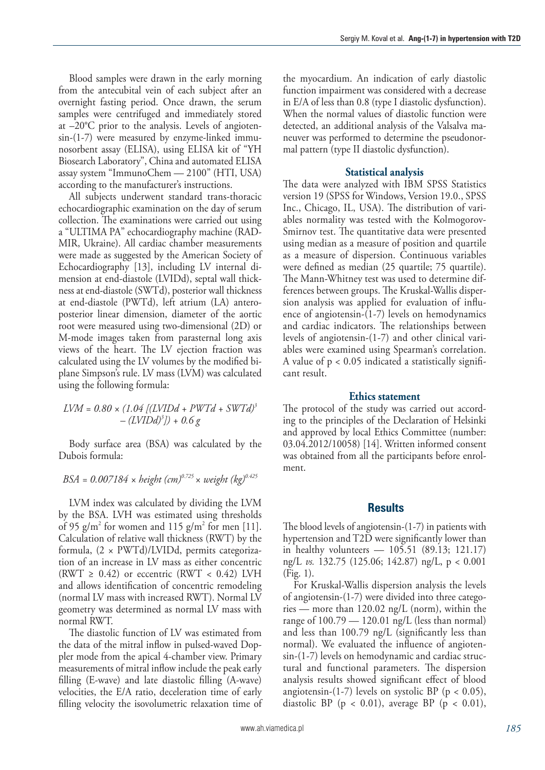Blood samples were drawn in the early morning from the antecubital vein of each subject after an overnight fasting period. Once drawn, the serum samples were centrifuged and immediately stored at –20°C prior to the analysis. Levels of angiotensin-(1-7) were measured by enzyme-linked immunosorbent assay (ELISA), using ELISA kit of "YH Biosearch Laboratory", China and automated ELISA assay system "ImmunoChem — 2100" (HTI, USA) according to the manufacturer's instructions.

All subjects underwent standard trans-thoracic echocardiographic examination on the day of serum collection. The examinations were carried out using a "ULTIMA PA" echocardiography machine (RAD-MIR, Ukraine). All cardiac chamber measurements were made as suggested by the American Society of Echocardiography [13], including LV internal dimension at end-diastole (LVIDd), septal wall thickness at end-diastole (SWTd), posterior wall thickness at end-diastole (PWTd), left atrium (LA) anteroposterior linear dimension, diameter of the aortic root were measured using two-dimensional (2D) or M-mode images taken from parasternal long axis views of the heart. The LV ejection fraction was calculated using the LV volumes by the modified biplane Simpson's rule. LV mass (LVM) was calculated using the following formula:

# $LVM = 0.80 \times (1.04$  [(LVIDd + PWTd + SWTd)<sup>3</sup> *– (LVIDd)3 ]) + 0.6 g*

Body surface area (BSA) was calculated by the Dubois formula:

*BSA* = 0.007184 × height  $(cm)^{0.725}$  × weight  $(kq)^{0.425}$ 

LVM index was calculated by dividing the LVM by the BSA. LVH was estimated using thresholds of 95 g/m<sup>2</sup> for women and 115 g/m<sup>2</sup> for men [11]. Calculation of relative wall thickness (RWT) by the formula, (2 × PWTd)/LVIDd, permits categorization of an increase in LV mass as either concentric (RWT  $\geq$  0.42) or eccentric (RWT  $\lt$  0.42) LVH and allows identification of concentric remodeling (normal LV mass with increased RWT). Normal LV geometry was determined as normal LV mass with normal RWT.

The diastolic function of LV was estimated from the data of the mitral inflow in pulsed-waved Doppler mode from the apical 4-chamber view. Primary measurements of mitral inflow include the peak early filling (E-wave) and late diastolic filling (A-wave) velocities, the E/A ratio, deceleration time of early filling velocity the isovolumetric relaxation time of the myocardium. An indication of early diastolic function impairment was considered with a decrease in E/A of less than 0.8 (type I diastolic dysfunction). When the normal values of diastolic function were detected, an additional analysis of the Valsalva maneuver was performed to determine the pseudonormal pattern (type II diastolic dysfunction).

#### **Statistical analysis**

The data were analyzed with IBM SPSS Statistics version 19 (SPSS for Windows, Version 19.0., SPSS Inc., Chicago, IL, USA). The distribution of variables normality was tested with the Kolmogorov-Smirnov test. The quantitative data were presented using median as a measure of position and quartile as a measure of dispersion. Continuous variables were defined as median (25 quartile; 75 quartile). The Mann-Whitney test was used to determine differences between groups. The Kruskal-Wallis dispersion analysis was applied for evaluation of influence of angiotensin-(1-7) levels on hemodynamics and cardiac indicators. The relationships between levels of angiotensin-(1-7) and other clinical variables were examined using Spearman's correlation. A value of  $p < 0.05$  indicated a statistically significant result.

#### **Ethics statement**

The protocol of the study was carried out according to the principles of the Declaration of Helsinki and approved by local Ethics Committee (number: 03.04.2012/10058) [14]. Written informed consent was obtained from all the participants before enrolment.

### **Results**

The blood levels of angiotensin-(1-7) in patients with hypertension and T2D were significantly lower than in healthy volunteers — 105.51 (89.13; 121.17) ng/L *vs.* 132.75 (125.06; 142.87) ng/L, p < 0.001 (Fig. 1).

For Kruskal-Wallis dispersion analysis the levels of angiotensin-(1-7) were divided into three categories — more than 120.02 ng/L (norm), within the range of  $100.79 - 120.01$  ng/L (less than normal) and less than 100.79 ng/L (significantly less than normal). We evaluated the influence of angiotensin-(1-7) levels on hemodynamic and cardiac structural and functional parameters. The dispersion analysis results showed significant effect of blood angiotensin-(1-7) levels on systolic BP ( $p < 0.05$ ), diastolic BP ( $p < 0.01$ ), average BP ( $p < 0.01$ ),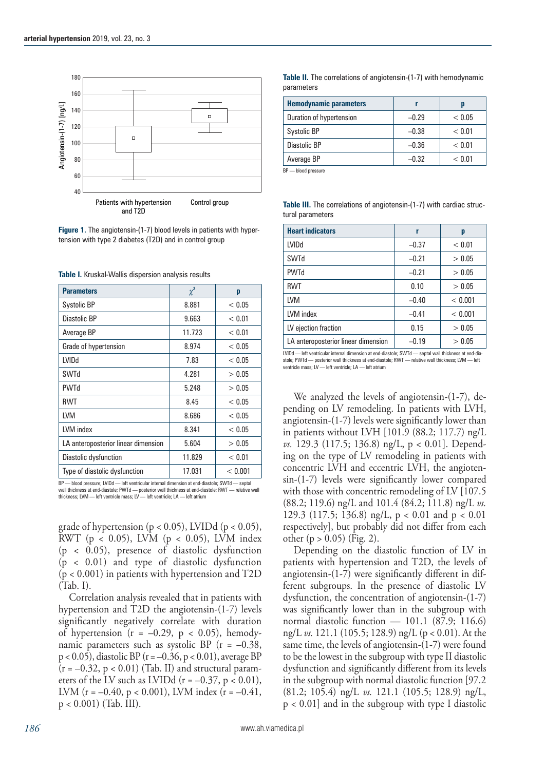



**Table I.** Kruskal-Wallis dispersion analysis results

| <b>Parameters</b>                   | $\chi^2$ | p       |
|-------------------------------------|----------|---------|
| Systolic BP                         | 8.881    | < 0.05  |
| Diastolic BP                        | 9.663    | < 0.01  |
| Average BP                          | 11.723   | < 0.01  |
| Grade of hypertension               | 8.974    | < 0.05  |
| LVIDd                               | 7.83     | < 0.05  |
| SWTd                                | 4.281    | > 0.05  |
| <b>PWTd</b>                         | 5.248    | > 0.05  |
| <b>RWT</b>                          | 8.45     | < 0.05  |
| LVM                                 | 8.686    | < 0.05  |
| LVM index                           | 8.341    | < 0.05  |
| LA anteroposterior linear dimension | 5.604    | > 0.05  |
| Diastolic dysfunction               | 11.829   | < 0.01  |
| Type of diastolic dysfunction       | 17.031   | < 0.001 |

BP — blood pressure; LVIDd — left ventricular internal dimension at end-diastole; SWTd — septal wall thickness at end-diastole; PWTd — posterior wall thickness at end-diastole; RWT — relative wall thickness; LVM — left ventricle mass; LV — left ventricle; LA — left atrium

grade of hypertension ( $p < 0.05$ ), LVIDd ( $p < 0.05$ ), RWT ( $p < 0.05$ ), LVM ( $p < 0.05$ ), LVM index (p < 0.05), presence of diastolic dysfunction (p < 0.01) and type of diastolic dysfunction  $(p < 0.001)$  in patients with hypertension and T2D (Tab. I).

Correlation analysis revealed that in patients with hypertension and T2D the angiotensin-(1-7) levels significantly negatively correlate with duration of hypertension  $(r = -0.29, p < 0.05)$ , hemodynamic parameters such as systolic BP  $(r = -0.38,$ p < 0.05), diastolic BP (r = –0.36, p < 0.01), average BP  $(r = -0.32, p < 0.01)$  (Tab. II) and structural parameters of the LV such as LVIDd  $(r = -0.37, p < 0.01)$ , LVM ( $r = -0.40$ ,  $p < 0.001$ ), LVM index ( $r = -0.41$ , p < 0.001) (Tab. III).

|            | <b>Table II.</b> The correlations of angiotensin-(1-7) with hemodynamic |
|------------|-------------------------------------------------------------------------|
| parameters |                                                                         |

| <b>Hemodynamic parameters</b> |         | D      |
|-------------------------------|---------|--------|
| Duration of hypertension      | $-0.29$ | < 0.05 |
| Systolic BP                   | $-0.38$ | < 0.01 |
| Diastolic BP                  | $-0.36$ | < 0.01 |
| Average BP                    | $-0.32$ | < 0.01 |

BP — blood pressure

**Table III.** The correlations of angiotensin-(1-7) with cardiac structural parameters

| <b>Heart indicators</b>             | r       | p       |
|-------------------------------------|---------|---------|
| <b>LVIDd</b>                        | $-0.37$ | < 0.01  |
| SWTd                                | $-0.21$ | > 0.05  |
| <b>PWTd</b>                         | $-0.21$ | > 0.05  |
| <b>RWT</b>                          | 0.10    | > 0.05  |
| <b>LVM</b>                          | $-0.40$ | < 0.001 |
| LVM index                           | $-0.41$ | < 0.001 |
| LV ejection fraction                | 0.15    | > 0.05  |
| LA anteroposterior linear dimension | $-0.19$ | > 0.05  |

LVIDd — left ventricular internal dimension at end-diastole; SWTd — septal wall thickness at end-diastole; PWTd — posterior wall thickness at end-diastole; RWT — relative wall thickness; LVM — left ventricle mass; LV — left ventricle; LA — left atrium

We analyzed the levels of angiotensin-(1-7), depending on LV remodeling. In patients with LVH, angiotensin-(1-7) levels were significantly lower than in patients without LVH [101.9 (88.2; 117.7) ng/L *vs.* 129.3 (117.5; 136.8) ng/L, p < 0.01]. Depending on the type of LV remodeling in patients with concentric LVH and eccentric LVH, the angiotensin-(1-7) levels were significantly lower compared with those with concentric remodeling of LV [107.5] (88.2; 119.6) ng/L and 101.4 (84.2; 111.8) ng/L *vs.* 129.3 (117.5; 136.8) ng/L, p < 0.01 and p < 0.01 respectively], but probably did not differ from each other  $(p > 0.05)$  (Fig. 2).

Depending on the diastolic function of LV in patients with hypertension and T2D, the levels of angiotensin-(1-7) were significantly different in different subgroups. In the presence of diastolic LV dysfunction, the concentration of angiotensin-(1-7) was significantly lower than in the subgroup with normal diastolic function — 101.1 (87.9; 116.6) ng/L *vs.* 121.1 (105.5; 128.9) ng/L (p < 0.01). At the same time, the levels of angiotensin-(1-7) were found to be the lowest in the subgroup with type II diastolic dysfunction and significantly different from its levels in the subgroup with normal diastolic function [97.2 (81.2; 105.4) ng/L *vs.* 121.1 (105.5; 128.9) ng/L, p < 0.01] and in the subgroup with type I diastolic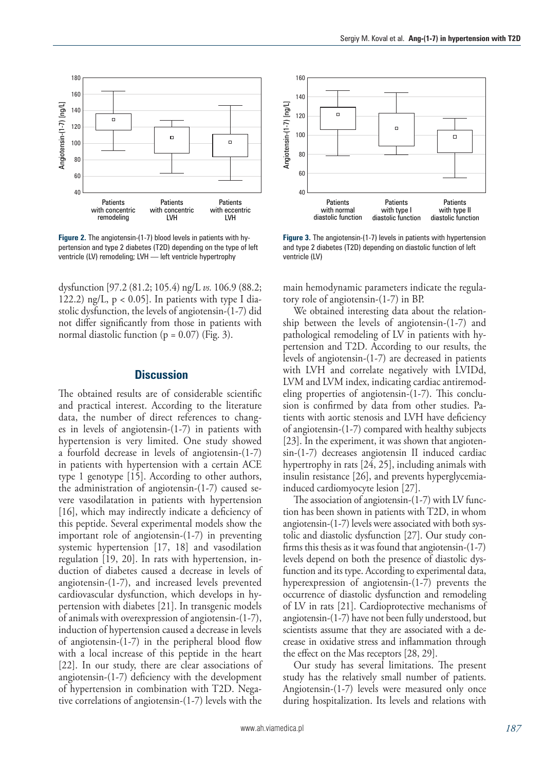

**Figure 2.** The angiotensin-(1-7) blood levels in patients with hypertension and type 2 diabetes (T2D) depending on the type of left ventricle (LV) remodeling; LVH — left ventricle hypertrophy

dysfunction [97.2 (81.2; 105.4) ng/L *vs.* 106.9 (88.2; 122.2) ng/L,  $p < 0.05$ ]. In patients with type I diastolic dysfunction, the levels of angiotensin-(1-7) did not differ significantly from those in patients with normal diastolic function ( $p = 0.07$ ) (Fig. 3).

## **Discussion**

The obtained results are of considerable scientific and practical interest. According to the literature data, the number of direct references to changes in levels of angiotensin-(1-7) in patients with hypertension is very limited. One study showed a fourfold decrease in levels of angiotensin-(1-7) in patients with hypertension with a certain ACE type 1 genotype [15]. According to other authors, the administration of angiotensin-(1-7) caused severe vasodilatation in patients with hypertension [16], which may indirectly indicate a deficiency of this peptide. Several experimental models show the important role of angiotensin-(1-7) in preventing systemic hypertension [17, 18] and vasodilation regulation [19, 20]. In rats with hypertension, induction of diabetes caused a decrease in levels of angiotensin-(1-7), and increased levels prevented cardiovascular dysfunction, which develops in hypertension with diabetes [21]. In transgenic models of animals with overexpression of angiotensin-(1-7), induction of hypertension caused a decrease in levels of angiotensin-(1-7) in the peripheral blood flow with a local increase of this peptide in the heart [22]. In our study, there are clear associations of angiotensin-(1-7) deficiency with the development of hypertension in combination with T2D. Negative correlations of angiotensin-(1-7) levels with the



**Figure 3.** The angiotensin-(1-7) levels in patients with hypertension and type 2 diabetes (T2D) depending on diastolic function of left ventricle (LV)

main hemodynamic parameters indicate the regulatory role of angiotensin-(1-7) in BP.

We obtained interesting data about the relationship between the levels of angiotensin-(1-7) and pathological remodeling of LV in patients with hypertension and T2D. According to our results, the levels of angiotensin-(1-7) are decreased in patients with LVH and correlate negatively with LVIDd, LVM and LVM index, indicating cardiac antiremodeling properties of angiotensin-(1-7). This conclusion is confirmed by data from other studies. Patients with aortic stenosis and LVH have deficiency of angiotensin-(1-7) compared with healthy subjects [23]. In the experiment, it was shown that angiotensin-(1-7) decreases angiotensin II induced cardiac hypertrophy in rats [24, 25], including animals with insulin resistance [26], and prevents hyperglycemiainduced cardiomyocyte lesion [27].

The association of angiotensin-(1-7) with LV function has been shown in patients with T2D, in whom angiotensin-(1-7) levels were associated with both systolic and diastolic dysfunction [27]. Our study confirms this thesis as it was found that angiotensin-(1-7) levels depend on both the presence of diastolic dysfunction and its type. According to experimental data, hyperexpression of angiotensin-(1-7) prevents the occurrence of diastolic dysfunction and remodeling of LV in rats [21]. Cardioprotective mechanisms of angiotensin-(1-7) have not been fully understood, but scientists assume that they are associated with a decrease in oxidative stress and inflammation through the effect on the Mas receptors [28, 29].

Our study has several limitations. The present study has the relatively small number of patients. Angiotensin-(1-7) levels were measured only once during hospitalization. Its levels and relations with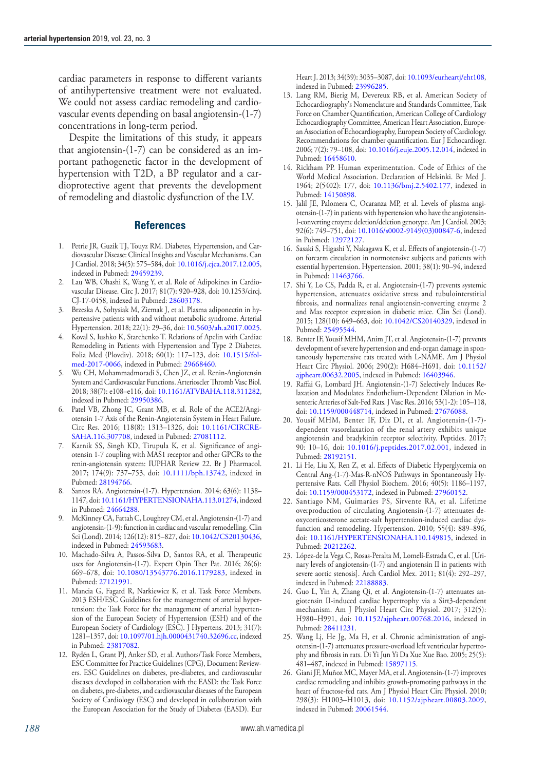cardiac parameters in response to different variants of antihypertensive treatment were not evaluated. We could not assess cardiac remodeling and cardiovascular events depending on basal angiotensin-(1-7) concentrations in long-term period.

Despite the limitations of this study, it appears that angiotensin-(1-7) can be considered as an important pathogenetic factor in the development of hypertension with T2D, a BP regulator and a cardioprotective agent that prevents the development of remodeling and diastolic dysfunction of the LV.

#### **References**

- 1. Petrie JR, Guzik TJ, Touyz RM. Diabetes, Hypertension, and Cardiovascular Disease: Clinical Insights and Vascular Mechanisms. Can J Cardiol. 2018; 34(5): 575–584, doi: [10.1016/j.cjca.2017.12.005](http://dx.doi.org/10.1016/j.cjca.2017.12.005), indexed in Pubmed: [29459239.](https://www.ncbi.nlm.nih.gov/pubmed/29459239)
- 2. Lau WB, Ohashi K, Wang Y, et al. Role of Adipokines in Cardiovascular Disease. Circ J. 2017; 81(7): 920–928, doi: 10.1253/circj. CJ-17-0458, indexed in Pubmed: [28603178.](https://www.ncbi.nlm.nih.gov/pubmed/28603178)
- 3. Brzeska A, Sołtysiak M, Ziemak J, et al. Plasma adiponectin in hypertensive patients with and without metabolic syndrome. Arterial Hypertension. 2018; 22(1): 29–36, doi: [10.5603/ah.a2017.0025](http://dx.doi.org/10.5603/ah.a2017.0025).
- 4. Koval S, Iushko K, Starchenko T. Relations of Apelin with Cardiac Remodeling in Patients with Hypertension and Type 2 Diabetes. Folia Med (Plovdiv). 2018; 60(1): 117–123, doi: [10.1515/fol](http://dx.doi.org/10.1515/folmed-2017-0066)[med-2017-0066,](http://dx.doi.org/10.1515/folmed-2017-0066) indexed in Pubmed: [29668460](https://www.ncbi.nlm.nih.gov/pubmed/29668460).
- 5. Wu CH, Mohammadmoradi S, Chen JZ, et al. Renin-Angiotensin System and Cardiovascular Functions. Arterioscler Thromb Vasc Biol. 2018; 38(7): e108–e116, doi: [10.1161/ATVBAHA.118.311282](http://dx.doi.org/10.1161/ATVBAHA.118.311282), indexed in Pubmed: [29950386.](https://www.ncbi.nlm.nih.gov/pubmed/29950386)
- 6. Patel VB, Zhong JC, Grant MB, et al. Role of the ACE2/Angiotensin 1-7 Axis of the Renin-Angiotensin System in Heart Failure. Circ Res. 2016; 118(8): 1313–1326, doi: [10.1161/CIRCRE-](http://dx.doi.org/10.1161/CIRCRESAHA.116.307708)[SAHA.116.307708,](http://dx.doi.org/10.1161/CIRCRESAHA.116.307708) indexed in Pubmed: [27081112](https://www.ncbi.nlm.nih.gov/pubmed/27081112).
- 7. Karnik SS, Singh KD, Tirupula K, et al. Significance of angiotensin 1-7 coupling with MAS1 receptor and other GPCRs to the renin-angiotensin system: IUPHAR Review 22. Br J Pharmacol. 2017; 174(9): 737–753, doi: [10.1111/bph.13742](http://dx.doi.org/10.1111/bph.13742), indexed in Pubmed: [28194766.](https://www.ncbi.nlm.nih.gov/pubmed/28194766)
- 8. Santos RA. Angiotensin-(1-7). Hypertension. 2014; 63(6): 1138– 1147, doi: [10.1161/HYPERTENSIONAHA.113.01274,](http://dx.doi.org/10.1161/HYPERTENSIONAHA.113.01274) indexed in Pubmed: [24664288](https://www.ncbi.nlm.nih.gov/pubmed/24664288).
- 9. McKinney CA, Fattah C, Loughrey CM, et al. Angiotensin-(1-7) and angiotensin-(1-9): function in cardiac and vascular remodelling. Clin Sci (Lond). 2014; 126(12): 815–827, doi: [10.1042/CS20130436](http://dx.doi.org/10.1042/CS20130436), indexed in Pubmed: [24593683.](https://www.ncbi.nlm.nih.gov/pubmed/24593683)
- 10. Machado-Silva A, Passos-Silva D, Santos RA, et al. Therapeutic uses for Angiotensin-(1-7). Expert Opin Ther Pat. 2016; 26(6): 669–678, doi: [10.1080/13543776.2016.1179283](http://dx.doi.org/10.1080/13543776.2016.1179283), indexed in Pubmed: [27121991.](https://www.ncbi.nlm.nih.gov/pubmed/27121991)
- 11. Mancia G, Fagard R, Narkiewicz K, et al. Task Force Members. 2013 ESH/ESC Guidelines for the management of arterial hypertension: the Task Force for the management of arterial hypertension of the European Society of Hypertension (ESH) and of the European Society of Cardiology (ESC). J Hypertens. 2013; 31(7): 1281–1357, doi: [10.1097/01.hjh.0000431740.32696.cc](http://dx.doi.org/10.1097/01.hjh.0000431740.32696.cc), indexed in Pubmed: [23817082](https://www.ncbi.nlm.nih.gov/pubmed/23817082).
- 12. Rydén L, Grant PJ, Anker SD, et al. Authors/Task Force Members, ESC Committee for Practice Guidelines (CPG), Document Reviewers. ESC Guidelines on diabetes, pre-diabetes, and cardiovascular diseases developed in collaboration with the EASD: the Task Force on diabetes, pre-diabetes, and cardiovascular diseases of the European Society of Cardiology (ESC) and developed in collaboration with the European Association for the Study of Diabetes (EASD). Eur

Heart J. 2013; 34(39): 3035–3087, doi: [10.1093/eurheartj/eht108,](http://dx.doi.org/10.1093/eurheartj/eht108) indexed in Pubmed: [23996285](https://www.ncbi.nlm.nih.gov/pubmed/23996285).

- 13. Lang RM, Bierig M, Devereux RB, et al. American Society of Echocardiography's Nomenclature and Standards Committee, Task Force on Chamber Quantification, American College of Cardiology Echocardiography Committee, American Heart Association, European Association of Echocardiography, European Society of Cardiology. Recommendations for chamber quantification. Eur J Echocardiogr. 2006; 7(2): 79–108, doi: [10.1016/j.euje.2005.12.014](http://dx.doi.org/10.1016/j.euje.2005.12.014), indexed in Pubmed: [16458610](https://www.ncbi.nlm.nih.gov/pubmed/16458610).
- 14. Rickham PP. Human experimentation. Code of Ethics of the World Medical Association. Declaration of Helsinki. Br Med J. 1964; 2(5402): 177, doi: [10.1136/bmj.2.5402.177,](http://dx.doi.org/10.1136/bmj.2.5402.177) indexed in Pubmed: [14150898](https://www.ncbi.nlm.nih.gov/pubmed/14150898).
- 15. Jalil JE, Palomera C, Ocaranza MP, et al. Levels of plasma angiotensin-(1-7) in patients with hypertension who have the angiotensin-I-converting enzyme deletion/deletion genotype. Am J Cardiol. 2003; 92(6): 749–751, doi: [10.1016/s0002-9149\(03\)00847-6](http://dx.doi.org/10.1016/s0002-9149(03)00847-6), indexed in Pubmed: [12972127.](https://www.ncbi.nlm.nih.gov/pubmed/12972127)
- 16. Sasaki S, Higashi Y, Nakagawa K, et al. Effects of angiotensin-(1-7) on forearm circulation in normotensive subjects and patients with essential hypertension. Hypertension. 2001; 38(1): 90–94, indexed in Pubmed: [11463766.](https://www.ncbi.nlm.nih.gov/pubmed/11463766)
- 17. Shi Y, Lo CS, Padda R, et al. Angiotensin-(1-7) prevents systemic hypertension, attenuates oxidative stress and tubulointerstitial fibrosis, and normalizes renal angiotensin-converting enzyme 2 and Mas receptor expression in diabetic mice. Clin Sci (Lond). 2015; 128(10): 649–663, doi: [10.1042/CS20140329,](http://dx.doi.org/10.1042/CS20140329) indexed in Pubmed: [25495544](https://www.ncbi.nlm.nih.gov/pubmed/25495544).
- 18. Benter IF, Yousif MHM, Anim JT, et al. Angiotensin-(1-7) prevents development of severe hypertension and end-organ damage in spontaneously hypertensive rats treated with L-NAME. Am J Physiol Heart Circ Physiol. 2006; 290(2): H684–H691, doi: [10.1152/](http://dx.doi.org/10.1152/ajpheart.00632.2005) [ajpheart.00632.2005](http://dx.doi.org/10.1152/ajpheart.00632.2005), indexed in Pubmed: [16403946.](https://www.ncbi.nlm.nih.gov/pubmed/16403946)
- 19. Raffai G, Lombard JH. Angiotensin-(1-7) Selectively Induces Relaxation and Modulates Endothelium-Dependent Dilation in Mesenteric Arteries of Salt-Fed Rats. J Vasc Res. 2016; 53(1-2): 105–118, doi: [10.1159/000448714,](http://dx.doi.org/10.1159/000448714) indexed in Pubmed: [27676088](https://www.ncbi.nlm.nih.gov/pubmed/27676088).
- 20. Yousif MHM, Benter IF, Diz DI, et al. Angiotensin-(1-7) dependent vasorelaxation of the renal artery exhibits unique angiotensin and bradykinin receptor selectivity. Peptides. 2017; 90: 10–16, doi: [10.1016/j.peptides.2017.02.001](http://dx.doi.org/10.1016/j.peptides.2017.02.001), indexed in Pubmed: [28192151](https://www.ncbi.nlm.nih.gov/pubmed/28192151).
- 21. Li He, Liu X, Ren Z, et al. Effects of Diabetic Hyperglycemia on Central Ang-(1-7)-Mas-R-nNOS Pathways in Spontaneously Hypertensive Rats. Cell Physiol Biochem. 2016; 40(5): 1186–1197, doi: [10.1159/000453172,](http://dx.doi.org/10.1159/000453172) indexed in Pubmed: [27960152](https://www.ncbi.nlm.nih.gov/pubmed/27960152).
- 22. Santiago NM, Guimarães PS, Sirvente RA, et al. Lifetime overproduction of circulating Angiotensin-(1-7) attenuates deoxycorticosterone acetate-salt hypertension-induced cardiac dysfunction and remodeling. Hypertension. 2010; 55(4): 889–896, doi: [10.1161/HYPERTENSIONAHA.110.149815](http://dx.doi.org/10.1161/HYPERTENSIONAHA.110.149815), indexed in Pubmed: [20212262](https://www.ncbi.nlm.nih.gov/pubmed/20212262).
- 23. López-de la Vega C, Rosas-Peralta M, Lomelí-Estrada C, et al. [Urinary levels of angiotensin-(1-7) and angiotensin II in patients with severe aortic stenosis]. Arch Cardiol Mex. 2011; 81(4): 292–297, indexed in Pubmed: [22188883](https://www.ncbi.nlm.nih.gov/pubmed/22188883).
- 24. Guo L, Yin A, Zhang Qi, et al. Angiotensin-(1-7) attenuates angiotensin II-induced cardiac hypertrophy via a Sirt3-dependent mechanism. Am J Physiol Heart Circ Physiol. 2017; 312(5): H980–H991, doi: [10.1152/ajpheart.00768.2016](http://dx.doi.org/10.1152/ajpheart.00768.2016), indexed in Pubmed: [28411231](https://www.ncbi.nlm.nih.gov/pubmed/28411231).
- 25. Wang Lj, He Jg, Ma H, et al. Chronic administration of angiotensin-(1-7) attenuates pressure-overload left ventricular hypertrophy and fibrosis in rats. Di Yi Jun Yi Da Xue Xue Bao. 2005; 25(5): 481–487, indexed in Pubmed: [15897115.](https://www.ncbi.nlm.nih.gov/pubmed/15897115)
- 26. Giani JF, Muñoz MC, Mayer MA, et al. Angiotensin-(1-7) improves cardiac remodeling and inhibits growth-promoting pathways in the heart of fructose-fed rats. Am J Physiol Heart Circ Physiol. 2010; 298(3): H1003–H1013, doi: [10.1152/ajpheart.00803.2009,](http://dx.doi.org/10.1152/ajpheart.00803.2009) indexed in Pubmed: [20061544](https://www.ncbi.nlm.nih.gov/pubmed/20061544).